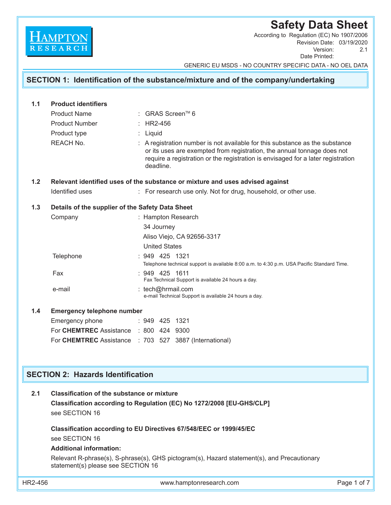# **Safety Data Sheet**

Revision Date: 03/19/2020<br>Version: 2.1 Version: Date Printed: According to Regulation (EC) No 1907/2006

GENERIC EU MSDS - NO COUNTRY SPECIFIC DATA - NO OEL DATA

# **SECTION 1: Identification of the substance/mixture and of the company/undertaking**

| 1.1                                      | <b>Product identifiers</b>                                                    |                                                                        |                                                                                                                                                                                                                                                        |                      |                                                                                            |  |  |  |  |
|------------------------------------------|-------------------------------------------------------------------------------|------------------------------------------------------------------------|--------------------------------------------------------------------------------------------------------------------------------------------------------------------------------------------------------------------------------------------------------|----------------------|--------------------------------------------------------------------------------------------|--|--|--|--|
|                                          | <b>Product Name</b>                                                           | : GRAS Screen™ 6                                                       |                                                                                                                                                                                                                                                        |                      |                                                                                            |  |  |  |  |
|                                          | <b>Product Number</b>                                                         |                                                                        | $\therefore$ HR2-456                                                                                                                                                                                                                                   |                      |                                                                                            |  |  |  |  |
|                                          | Product type                                                                  | : Liquid                                                               |                                                                                                                                                                                                                                                        |                      |                                                                                            |  |  |  |  |
|                                          | <b>REACH No.</b>                                                              |                                                                        | A registration number is not available for this substance as the substance<br>or its uses are exempted from registration, the annual tonnage does not<br>require a registration or the registration is envisaged for a later registration<br>deadline. |                      |                                                                                            |  |  |  |  |
| 1.2                                      | Relevant identified uses of the substance or mixture and uses advised against |                                                                        |                                                                                                                                                                                                                                                        |                      |                                                                                            |  |  |  |  |
|                                          | <b>Identified uses</b>                                                        |                                                                        | : For research use only. Not for drug, household, or other use.                                                                                                                                                                                        |                      |                                                                                            |  |  |  |  |
| 1.3                                      | Details of the supplier of the Safety Data Sheet                              |                                                                        |                                                                                                                                                                                                                                                        |                      |                                                                                            |  |  |  |  |
|                                          | Company                                                                       |                                                                        |                                                                                                                                                                                                                                                        |                      | : Hampton Research                                                                         |  |  |  |  |
|                                          |                                                                               |                                                                        | 34 Journey                                                                                                                                                                                                                                             |                      |                                                                                            |  |  |  |  |
|                                          |                                                                               |                                                                        |                                                                                                                                                                                                                                                        |                      | Aliso Viejo, CA 92656-3317                                                                 |  |  |  |  |
|                                          |                                                                               |                                                                        |                                                                                                                                                                                                                                                        | <b>United States</b> |                                                                                            |  |  |  |  |
|                                          | Telephone                                                                     |                                                                        |                                                                                                                                                                                                                                                        |                      | : 949 425 1321                                                                             |  |  |  |  |
|                                          |                                                                               |                                                                        |                                                                                                                                                                                                                                                        |                      | Telephone technical support is available 8:00 a.m. to 4:30 p.m. USA Pacific Standard Time. |  |  |  |  |
|                                          | Fax                                                                           | $: 949$ 425 1611<br>Fax Technical Support is available 24 hours a day. |                                                                                                                                                                                                                                                        |                      |                                                                                            |  |  |  |  |
|                                          | e-mail                                                                        |                                                                        | : tech@hrmail.com<br>e-mail Technical Support is available 24 hours a day.                                                                                                                                                                             |                      |                                                                                            |  |  |  |  |
| 1.4                                      | <b>Emergency telephone number</b>                                             |                                                                        |                                                                                                                                                                                                                                                        |                      |                                                                                            |  |  |  |  |
|                                          | Emergency phone                                                               |                                                                        |                                                                                                                                                                                                                                                        |                      | $: 949$ 425 1321                                                                           |  |  |  |  |
|                                          | For CHEMTREC Assistance : 800 424 9300                                        |                                                                        |                                                                                                                                                                                                                                                        |                      |                                                                                            |  |  |  |  |
|                                          | For CHEMTREC Assistance : 703 527 3887 (International)                        |                                                                        |                                                                                                                                                                                                                                                        |                      |                                                                                            |  |  |  |  |
|                                          |                                                                               |                                                                        |                                                                                                                                                                                                                                                        |                      |                                                                                            |  |  |  |  |
|                                          |                                                                               |                                                                        |                                                                                                                                                                                                                                                        |                      |                                                                                            |  |  |  |  |
| <b>SECTION 2: Hazards Identification</b> |                                                                               |                                                                        |                                                                                                                                                                                                                                                        |                      |                                                                                            |  |  |  |  |
|                                          |                                                                               |                                                                        |                                                                                                                                                                                                                                                        |                      |                                                                                            |  |  |  |  |

## **2.1 Classification of the substance or mixture Classification according to Regulation (EC) No 1272/2008 [EU-GHS/CLP]** see SECTION 16

**Classification according to EU Directives 67/548/EEC or 1999/45/EC**

see SECTION 16

**HAMPTON** 

### **Additional information:**

 Relevant R-phrase(s), S-phrase(s), GHS pictogram(s), Hazard statement(s), and Precautionary statement(s) please see SECTION 16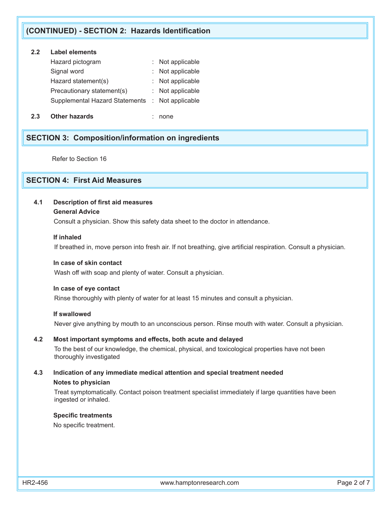# **(CONTINUED) - SECTION 2: Hazards Identification**

# **2.2 Label elements**

| Hazard pictogram                                | : Not applicable |
|-------------------------------------------------|------------------|
| Signal word                                     | : Not applicable |
| Hazard statement(s)                             | : Not applicable |
| Precautionary statement(s)                      | : Not applicable |
| Supplemental Hazard Statements : Not applicable |                  |
|                                                 |                  |

**2.3 Other hazards** : none

# **SECTION 3: Composition/information on ingredients**

Refer to Section 16

# **SECTION 4: First Aid Measures**

### **4.1 Description of first aid measures**

#### **General Advice**

Consult a physician. Show this safety data sheet to the doctor in attendance.

#### **If inhaled**

If breathed in, move person into fresh air. If not breathing, give artificial respiration. Consult a physician.

#### **In case of skin contact**

Wash off with soap and plenty of water. Consult a physician.

#### **In case of eye contact**

Rinse thoroughly with plenty of water for at least 15 minutes and consult a physician.

#### **If swallowed**

Never give anything by mouth to an unconscious person. Rinse mouth with water. Consult a physician.

### **4.2 Most important symptoms and effects, both acute and delayed**

To the best of our knowledge, the chemical, physical, and toxicological properties have not been thoroughly investigated

### **4.3 Indication of any immediate medical attention and special treatment needed Notes to physician**

 Treat symptomatically. Contact poison treatment specialist immediately if large quantities have been ingested or inhaled.

#### **Specific treatments**

No specific treatment.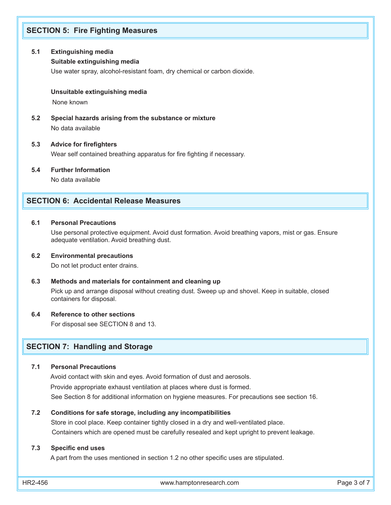# **SECTION 5: Fire Fighting Measures**

#### **5.1 Extinguishing media**

#### **Suitable extinguishing media**

Use water spray, alcohol-resistant foam, dry chemical or carbon dioxide.

#### **Unsuitable extinguishing media**

None known

**5.2 Special hazards arising from the substance or mixture** No data available

#### **5.3 Advice for firefighters**

Wear self contained breathing apparatus for fire fighting if necessary.

**5.4 Further Information**

No data available

### **SECTION 6: Accidental Release Measures**

#### **6.1 Personal Precautions**

Use personal protective equipment. Avoid dust formation. Avoid breathing vapors, mist or gas. Ensure adequate ventilation. Avoid breathing dust.

#### **6.2 Environmental precautions**

Do not let product enter drains.

#### **6.3 Methods and materials for containment and cleaning up**

 Pick up and arrange disposal without creating dust. Sweep up and shovel. Keep in suitable, closed containers for disposal.

#### **6.4 Reference to other sections**

For disposal see SECTION 8 and 13.

## **SECTION 7: Handling and Storage**

#### **7.1 Personal Precautions**

 Avoid contact with skin and eyes. Avoid formation of dust and aerosols. Provide appropriate exhaust ventilation at places where dust is formed. See Section 8 for additional information on hygiene measures. For precautions see section 16.

#### **7.2 Conditions for safe storage, including any incompatibilities**

 Store in cool place. Keep container tightly closed in a dry and well-ventilated place. Containers which are opened must be carefully resealed and kept upright to prevent leakage.

#### **7.3 Specific end uses**

A part from the uses mentioned in section 1.2 no other specific uses are stipulated.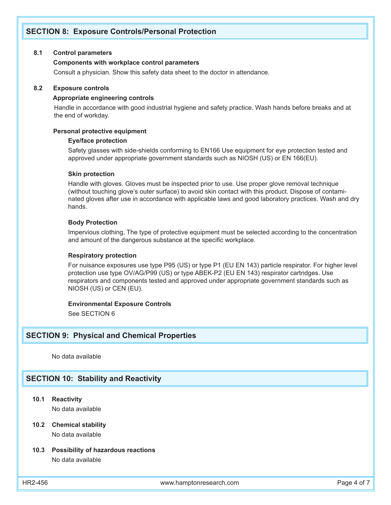# **SECTION 8: Exposure Controls/Personal Protection**

#### **8.1 Control parameters**

#### **Components with workplace control parameters**

Consult a physician. Show this safety data sheet to the doctor in attendance.

#### **8.2 Exposure controls**

#### **Appropriate engineering controls**

 Handle in accordance with good industrial hygiene and safety practice. Wash hands before breaks and at the end of workday.

#### **Personal protective equipment**

#### **Eye/face protection**

Safety glasses with side-shields conforming to EN166 Use equipment for eye protection tested and approved under appropriate government standards such as NIOSH (US) or EN 166(EU).

#### **Skin protection**

Handle with gloves. Gloves must be inspected prior to use. Use proper glove removal technique (without touching glove's outer surface) to avoid skin contact with this product. Dispose of contaminated gloves after use in accordance with applicable laws and good laboratory practices. Wash and dry hands.

### **Body Protection**

Impervious clothing, The type of protective equipment must be selected according to the concentration and amount of the dangerous substance at the specific workplace.

#### **Respiratory protection**

For nuisance exposures use type P95 (US) or type P1 (EU EN 143) particle respirator. For higher level protection use type OV/AG/P99 (US) or type ABEK-P2 (EU EN 143) respirator cartridges. Use respirators and components tested and approved under appropriate government standards such as NIOSH (US) or CEN (EU).

#### **Environmental Exposure Controls**

See SECTION 6

#### **SECTION 9: Physical and Chemical Properties**

No data available

### **SECTION 10: Stability and Reactivity**

**10.1 Reactivity**

No data available

#### **10.2 Chemical stability** No data available

#### **10.3 Possibility of hazardous reactions** No data available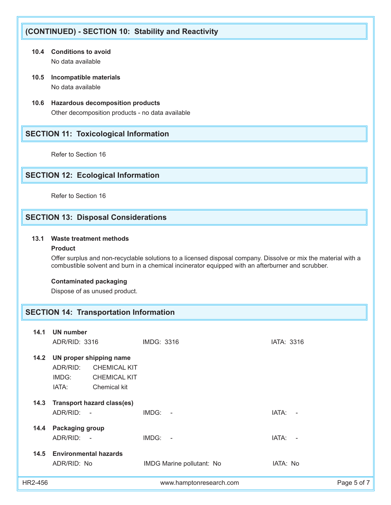# **(CONTINUED) - SECTION 10: Stability and Reactivity**

- **10.4 Conditions to avoid** No data available
- **10.5 Incompatible materials** No data available
- **10.6 Hazardous decomposition products** Other decomposition products - no data available

# **SECTION 11: Toxicological Information**

Refer to Section 16

# **SECTION 12: Ecological Information**

Refer to Section 16

# **SECTION 13: Disposal Considerations**

### **13.1 Waste treatment methods**

### **Product**

 Offer surplus and non-recyclable solutions to a licensed disposal company. Dissolve or mix the material with a combustible solvent and burn in a chemical incinerator equipped with an afterburner and scrubber.

### **Contaminated packaging**

Dispose of as unused product.

# **SECTION 14: Transportation Information**

| 14.1    | <b>UN number</b><br>ADR/RID: 3316                                                                                   | IMDG: 3316                | IATA: 3316      |
|---------|---------------------------------------------------------------------------------------------------------------------|---------------------------|-----------------|
| 14.2    | UN proper shipping name<br>ADR/RID:<br><b>CHEMICAL KIT</b><br>IMDG:<br><b>CHEMICAL KIT</b><br>IATA:<br>Chemical kit |                           |                 |
| 14.3    | <b>Transport hazard class(es)</b><br>ADR/RID: -                                                                     | $IMDG: -$                 | IATA:<br>$\sim$ |
| 14.4    | <b>Packaging group</b><br>ADR/RID: -                                                                                | $IMDG: -$                 | IATA:<br>$\sim$ |
| 14.5    | <b>Environmental hazards</b><br>ADR/RID: No                                                                         | IMDG Marine pollutant: No | IATA: No        |
| HR2-456 |                                                                                                                     | www.hamptonresearch.com   | Page 5 of 7     |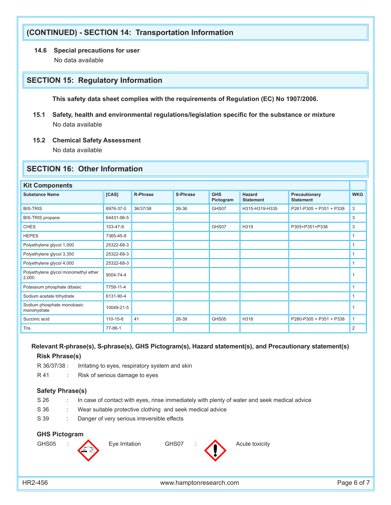# **(CONTINUED) - SECTION 14: Transportation Information**

**14.6 Special precautions for user**

No data available

## **SECTION 15: Regulatory Information**

 **This safety data sheet complies with the requirements of Regulation (EC) No 1907/2006.**

- **15.1 Safety, health and environmental regulations/legislation specific for the substance or mixture** No data available
- **15.2 Chemical Safety Assessment**

No data available

## **SECTION 16: Other Information**

| <b>Kit Components</b>                         |            |                 |          |                         |                            |                                   |                |  |
|-----------------------------------------------|------------|-----------------|----------|-------------------------|----------------------------|-----------------------------------|----------------|--|
| <b>Substance Name</b>                         | [CAS]      | <b>R-Phrase</b> | S-Phrase | <b>GHS</b><br>Pictogram | Hazard<br><b>Statement</b> | Precautionary<br><b>Statement</b> | <b>WKG</b>     |  |
| <b>BIS-TRIS</b>                               | 6976-37-0  | 36/37/38        | 26-36    | GHS07                   | H315-H319-H335             | P261-P305 + P351 + P338           | 3              |  |
| <b>BIS-TRIS</b> propane                       | 64431-96-5 |                 |          |                         |                            |                                   | 3              |  |
| <b>CHES</b>                                   | 103-47-9   |                 |          | GHS07                   | H319                       | P305+P351+P338                    | 3              |  |
| <b>HEPES</b>                                  | 7365-45-9  |                 |          |                         |                            |                                   | $\mathbf{1}$   |  |
| Polyethylene glycol 1,000                     | 25322-68-3 |                 |          |                         |                            |                                   | 1              |  |
| Polyethylene glycol 3,350                     | 25322-68-3 |                 |          |                         |                            |                                   | $\mathbf{1}$   |  |
| Polyethylene glycol 4,000                     | 25322-68-3 |                 |          |                         |                            |                                   | 1              |  |
| Polyethylene glycol monomethyl ether<br>2,000 | 9004-74-4  |                 |          |                         |                            |                                   | $\mathbf 1$    |  |
| Potassium phosphate dibasic                   | 7758-11-4  |                 |          |                         |                            |                                   | 1              |  |
| Sodium acetate trihydrate                     | 6131-90-4  |                 |          |                         |                            |                                   | 1              |  |
| Sodium phosphate monobasic<br>monohydrate     | 10049-21-5 |                 |          |                         |                            |                                   | $\mathbf{1}$   |  |
| Succinic acid                                 | 110-15-6   | 41              | 26-39    | GHS05                   | H318                       | P280-P305 + P351 + P338           | $\mathbf{1}$   |  |
| Tris                                          | 77-86-1    |                 |          |                         |                            |                                   | $\overline{2}$ |  |

### **Relevant R-phrase(s), S-phrase(s), GHS Pictogram(s), Hazard statement(s), and Precautionary statement(s) Risk Phrase(s)**

R 36/37/38 : Irritating to eyes, respiratory system and skin

R 41 : Risk of serious damage to eyes

#### **Safety Phrase(s)**

- S 26 : In case of contact with eyes, rinse immediately with plenty of water and seek medical advice
- S 36 : Wear suitable protective clothing and seek medical advice
- S 39 : Danger of very serious irreversible effects

### **GHS Pictogram**